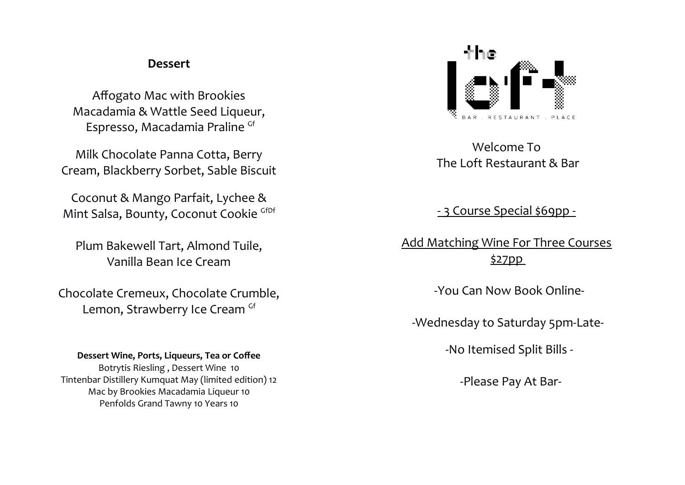## **Dessert**

Affogato Mac with Brookies Macadamia & Wattle Seed Liqueur, Espresso, Macadamia Praline Gf

Milk Chocolate Panna Cotta, Berry Cream, Blackberry Sorbet, Sable Biscuit

Coconut & Mango Parfait, Lychee & Mint Salsa, Bounty, Coconut Cookie GfDf

Plum Bakewell Tart, Almond Tuile, Vanilla Bean Ice Cream

Chocolate Cremeux, Chocolate Crumble, Lemon, Strawberry Ice Cream Gf

## **Dessert Wine, Ports, Liqueurs, Tea or Coffee**

Botrytis Riesling , Dessert Wine 10 Tintenbar Distillery Kumquat May (limited edition) 12 Mac by Brookies Macadamia Liqueur 10 Penfolds Grand Tawny 10 Years 10



Welcome To The Loft Restaurant & Bar

- 3 Course Special \$69pp -

Add Matching Wine For Three Courses \$27pp

-You Can Now Book Online-

-Wednesday to Saturday 5pm-Late-

-No Itemised Split Bills -

-Please Pay At Bar-